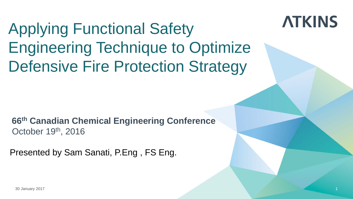#### Applying Functional Safety Engineering Technique to Optimize Defensive Fire Protection Strategy

**ATKINS** 

**66th Canadian Chemical Engineering Conference** October 19<sup>th</sup>, 2016

Presented by Sam Sanati, P.Eng , FS Eng.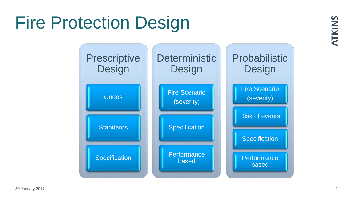## Fire Protection Design

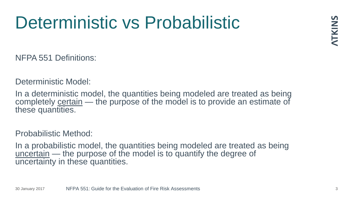## Deterministic vs Probabilistic

NFPA 551 Definitions:

Deterministic Model:

In a deterministic model, the quantities being modeled are treated as being completely certain — the purpose of the model is to provide an estimate of these quantities.

Probabilistic Method:

In a probabilistic model, the quantities being modeled are treated as being uncertain — the purpose of the model is to quantify the degree of uncertainty in these quantities.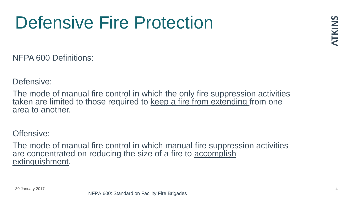## Defensive Fire Protection

NFPA 600 Definitions:

Defensive:

The mode of manual fire control in which the only fire suppression activities taken are limited to those required to keep a fire from extending from one area to another.

Offensive:

The mode of manual fire control in which manual fire suppression activities are concentrated on reducing the size of a fire to accomplish extinguishment.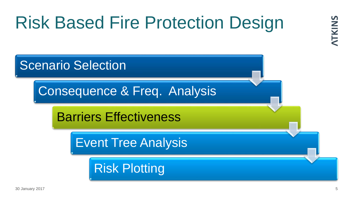## Risk Based Fire Protection Design

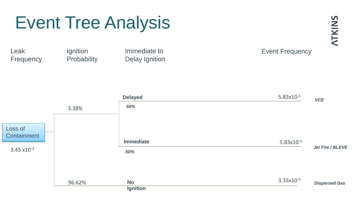#### Event Tree Analysis

Leak **Frequency**  Ignition **Probability** 

Immediate to Delay Ignition

#### Event Frequency

**ATKINS** 

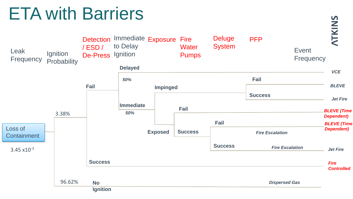## ETA with Barriers

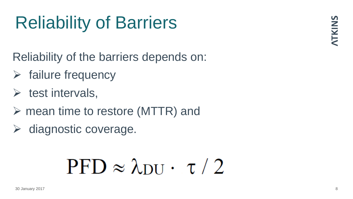## Reliability of Barriers

Reliability of the barriers depends on:

- $\triangleright$  failure frequency
- $\triangleright$  test intervals,
- $\triangleright$  mean time to restore (MTTR) and
- $\triangleright$  diagnostic coverage.

# $PFD \approx \lambda_{\text{DII}} \cdot \tau / 2$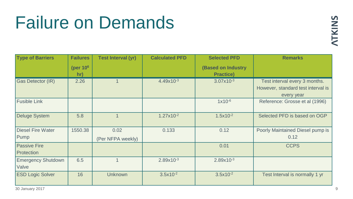#### Failure on Demands

| <b>Type of Barriers</b>            | <b>Failures</b>             | <b>Test Interval (yr)</b> | <b>Calculated PFD</b> | <b>Selected PFD</b>                           | <b>Remarks</b>                                                                    |
|------------------------------------|-----------------------------|---------------------------|-----------------------|-----------------------------------------------|-----------------------------------------------------------------------------------|
|                                    | (per 10 <sup>6</sup><br>hr) |                           |                       | <b>(Based on Industry</b><br><b>Practice)</b> |                                                                                   |
| Gas Detector (IR)                  | 2.26                        |                           | $4.49x10^{-3}$        | $3.07x10^{-3}$                                | Test interval every 3 months.<br>However, standard test interval is<br>every year |
| <b>Fusible Link</b>                |                             |                           |                       | $1x10^{-6}$                                   | Reference: Grosse et al (1996)                                                    |
| <b>Deluge System</b>               | 5.8                         |                           | $1.27 \times 10^{-2}$ | $1.5x10^{-2}$                                 | Selected PFD is based on OGP                                                      |
| <b>Diesel Fire Water</b><br>Pump   | 1550.38                     | 0.02<br>(Per NFPA weekly) | 0.133                 | 0.12                                          | Poorly Maintained Diesel pump is<br>0.12                                          |
| <b>Passive Fire</b><br>Protection  |                             |                           |                       | 0.01                                          | <b>CCPS</b>                                                                       |
| <b>Emergency Shutdown</b><br>Valve | 6.5                         |                           | $2.89x10^{-3}$        | $2.89x10^{-3}$                                |                                                                                   |
| <b>ESD Logic Solver</b>            | 16                          | Unknown                   | $3.5x10^{-2}$         | $3.5x10^{-2}$                                 | Test Interval is normally 1 yr                                                    |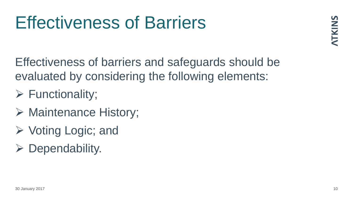## Effectiveness of Barriers

**ATKINS** 

Effectiveness of barriers and safeguards should be evaluated by considering the following elements:

- $\triangleright$  Functionality;
- $\triangleright$  Maintenance History;
- $\triangleright$  Voting Logic; and
- $\triangleright$  Dependability.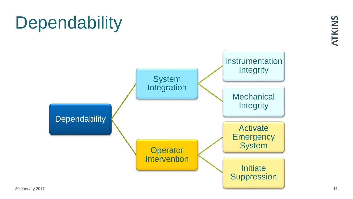## **Dependability**

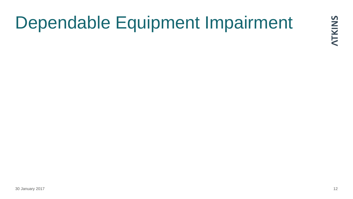## Dependable Equipment Impairment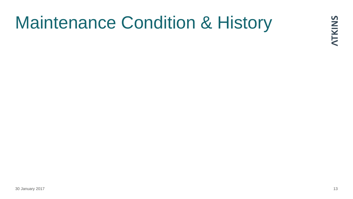## Maintenance Condition & History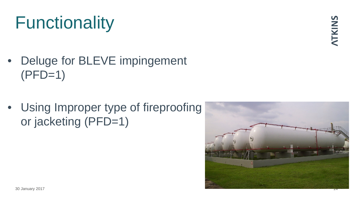## **Functionality**

- Deluge for BLEVE impingement  $(PFD=1)$
- Using Improper type of fireproofing or jacketing (PFD=1)

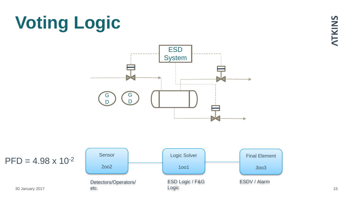## **Voting Logic**



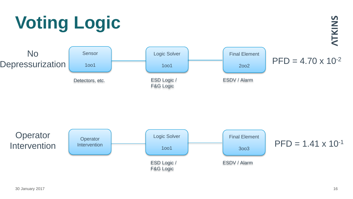



# **Voting Logic**

**ATKINS**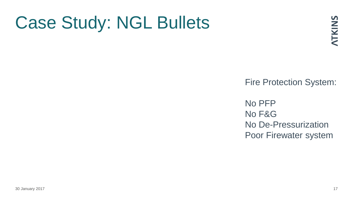## Case Study: NGL Bullets

Fire Protection System:

No PFP No F&G No De-Pressurization Poor Firewater system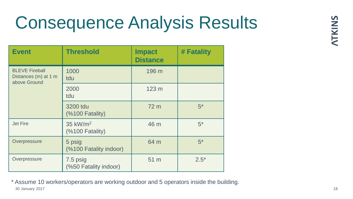## Consequence Analysis Results

| <b>Event</b>                                                  | <b>Threshold</b>                   | <b>Impact</b><br><b>Distance</b> | # Fatality |
|---------------------------------------------------------------|------------------------------------|----------------------------------|------------|
| <b>BLEVE Fireball</b><br>Distances (m) at 1 m<br>above Ground | 1000<br>tdu                        | 196 m                            |            |
|                                                               | 2000<br>tdu                        | 123 <sub>m</sub>                 |            |
|                                                               | 3200 tdu<br>(%100 Fatality)        | 72 m                             | $5^*$      |
| <b>Jet Fire</b>                                               | 35 $kW/m2$<br>$(%$ (%100 Fatality) | 46 m                             | $5^*$      |
| Overpressure                                                  | 5 psig<br>(%100 Fatality indoor)   | 64 m                             | $5^*$      |
| Overpressure<br>7.5 psig<br>(%50 Fatality indoor)             |                                    | 51 m                             | $2.5*$     |

30 January 2017 18 \* Assume 10 workers/operators are working outdoor and 5 operators inside the building.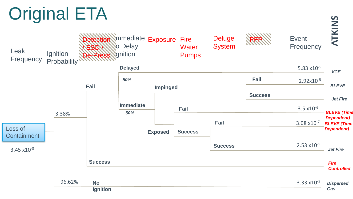## Original ETA

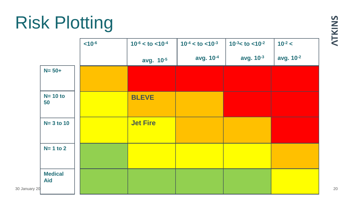## Risk Plotting

|               |                              | $< 10^{-6}$ | $10^{-6} <$ to $<$ 10 <sup>-4</sup> | $10^{-4} <$ to $< 10^{-3}$ | $10^{-3}$ < to < 10 <sup>-2</sup> | $10^{-2} <$ | Z  |
|---------------|------------------------------|-------------|-------------------------------------|----------------------------|-----------------------------------|-------------|----|
|               |                              |             | avg. 10-5                           | avg. 10 <sup>-4</sup>      | avg. $10^{-3}$                    | avg. 10-2   |    |
|               | $N = 50+$                    |             |                                     |                            |                                   |             |    |
|               |                              |             |                                     |                            |                                   |             |    |
|               | $N = 10$ to<br>50            |             | <b>BLEVE</b>                        |                            |                                   |             |    |
|               |                              |             |                                     |                            |                                   |             |    |
|               | $N=3$ to 10                  |             | <b>Jet Fire</b>                     |                            |                                   |             |    |
|               |                              |             |                                     |                            |                                   |             |    |
|               | $N=1$ to 2                   |             |                                     |                            |                                   |             |    |
|               |                              |             |                                     |                            |                                   |             |    |
|               | <b>Medical</b><br><b>Aid</b> |             |                                     |                            |                                   |             |    |
| 30 January 20 |                              |             |                                     |                            |                                   |             | 20 |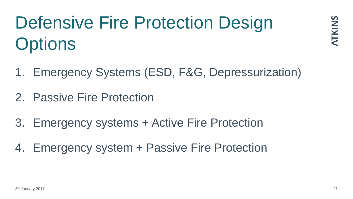## Defensive Fire Protection Design **Options**

- 1. Emergency Systems (ESD, F&G, Depressurization)
- 2. Passive Fire Protection
- 3. Emergency systems + Active Fire Protection
- 4. Emergency system + Passive Fire Protection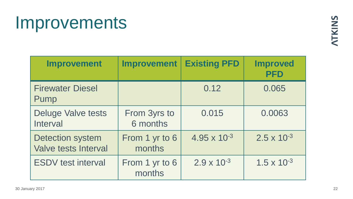#### Improvements

| <b>Improvement</b>                                     | <b>Improvement</b>       | <b>Existing PFD</b>   | <b>Improved</b><br><b>PFD</b> |
|--------------------------------------------------------|--------------------------|-----------------------|-------------------------------|
| <b>Firewater Diesel</b><br>Pump                        |                          | 0.12                  | 0.065                         |
| <b>Deluge Valve tests</b><br>Interval                  | From 3yrs to<br>6 months | 0.015                 | 0.0063                        |
| <b>Detection system</b><br><b>Valve tests Interval</b> | From 1 yr to 6<br>months | $4.95 \times 10^{-3}$ | $2.5 \times 10^{-3}$          |
| <b>ESDV</b> test interval                              | From 1 yr to 6<br>months | $2.9 \times 10^{-3}$  | $1.5 \times 10^{-3}$          |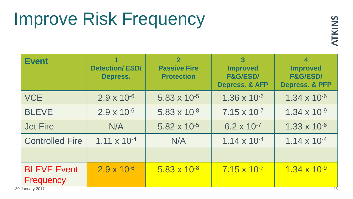## Improve Risk Frequency

| <b>Event</b>                    | 1<br><b>Detection/ESD/</b><br><b>Depress.</b> | $\overline{2}$<br><b>Passive Fire</b><br><b>Protection</b> | 3<br><b>Improved</b><br><b>F&amp;G/ESD/</b><br><b>Depress. &amp; AFP</b> | $\boldsymbol{4}$<br><b>Improved</b><br><b>F&amp;G/ESD/</b><br><b>Depress. &amp; PFP</b> |
|---------------------------------|-----------------------------------------------|------------------------------------------------------------|--------------------------------------------------------------------------|-----------------------------------------------------------------------------------------|
| <b>VCE</b>                      | $2.9 \times 10^{-6}$                          | $5.83 \times 10^{-5}$                                      | $1.36 \times 10^{-6}$                                                    | $1.34 \times 10^{-6}$                                                                   |
| <b>BLEVE</b>                    | $2.9 \times 10^{-6}$                          | $5.83 \times 10^{-8}$                                      | $7.15 \times 10^{-7}$                                                    | $1.34 \times 10^{-9}$                                                                   |
| <b>Jet Fire</b>                 | N/A                                           | $5.82 \times 10^{-5}$                                      | $6.2 \times 10^{-7}$                                                     | $1.33 \times 10^{-6}$                                                                   |
| <b>Controlled Fire</b>          | $1.11 \times 10^{-4}$                         | N/A                                                        | $1.14 \times 10^{-4}$                                                    | $1.14 \times 10^{-4}$                                                                   |
|                                 |                                               |                                                            |                                                                          |                                                                                         |
| <b>BLEVE Event</b><br>Frequency | $2.9 \times 10^{-6}$                          | $5.83 \times 10^{-8}$                                      | $7.15 \times 10^{-7}$                                                    | $1.34 \times 10^{-9}$                                                                   |

30 January 2017 23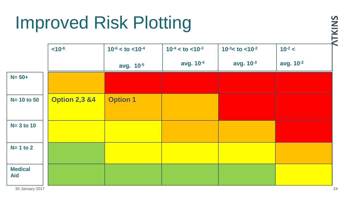## Improved Risk Plotting

|                              | $< 10^{-6}$              | $10^{-6} <$ to $<$ 10 <sup>-4</sup> | $10^{-4} <$ to $< 10^{-3}$ | $10^{-3}$ < to < 10 <sup>-2</sup> | $10^{-2} <$ |
|------------------------------|--------------------------|-------------------------------------|----------------------------|-----------------------------------|-------------|
|                              |                          | avg. 10-5                           | avg. 10-4                  | avg. 10-3                         | avg. 10-2   |
| $N = 50+$                    |                          |                                     |                            |                                   |             |
| $N = 10$ to 50               | <b>Option 2,3 &amp;4</b> | <b>Option 1</b>                     |                            |                                   |             |
| $N=3$ to 10                  |                          |                                     |                            |                                   |             |
| $N=1$ to 2                   |                          |                                     |                            |                                   |             |
| <b>Medical</b><br><b>Aid</b> |                          |                                     |                            |                                   |             |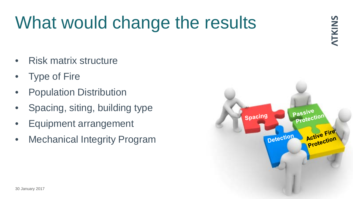## What would change the results

- Risk matrix structure
- **Type of Fire**
- Population Distribution
- Spacing, siting, building type
- Equipment arrangement
- Mechanical Integrity Program